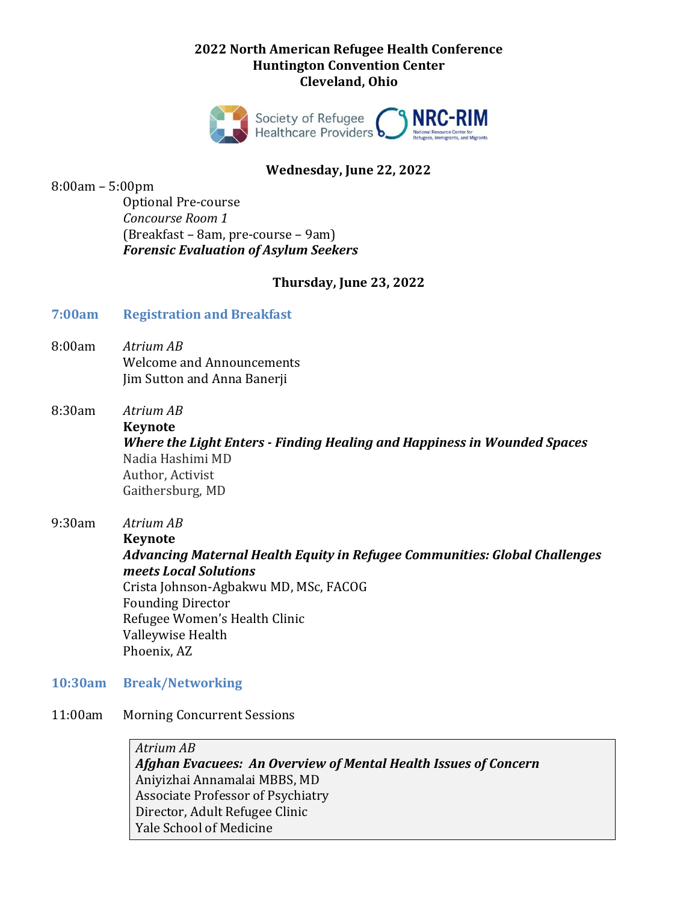### **2022 North American Refugee Health Conference Huntington Convention Center Cleveland, Ohio**



### **Wednesday, June 22, 2022**

8:00am – 5:00pm

Optional Pre-course *Concourse Room 1* (Breakfast – 8am, pre-course – 9am) *Forensic Evaluation of Asylum Seekers*

#### **Thursday, June 23, 2022**

#### **7:00am Registration and Breakfast**

8:00am *Atrium AB* Welcome and Announcements Jim Sutton and Anna Banerji

8:30am *Atrium AB*

**Keynote**

*Where the Light Enters - Finding Healing and Happiness in Wounded Spaces* Nadia Hashimi MD Author, Activist Gaithersburg, MD

9:30am *Atrium AB*

**Keynote** 

*Advancing Maternal Health Equity in Refugee Communities: Global Challenges meets Local Solutions*

Crista Johnson-Agbakwu MD, MSc, FACOG Founding Director Refugee Women's Health Clinic Valleywise Health Phoenix, AZ

- **10:30am Break/Networking**
- 11:00am Morning Concurrent Sessions

*Atrium AB Afghan Evacuees: An Overview of Mental Health Issues of Concern* Aniyizhai Annamalai MBBS, MD Associate Professor of Psychiatry Director, Adult Refugee Clinic Yale School of Medicine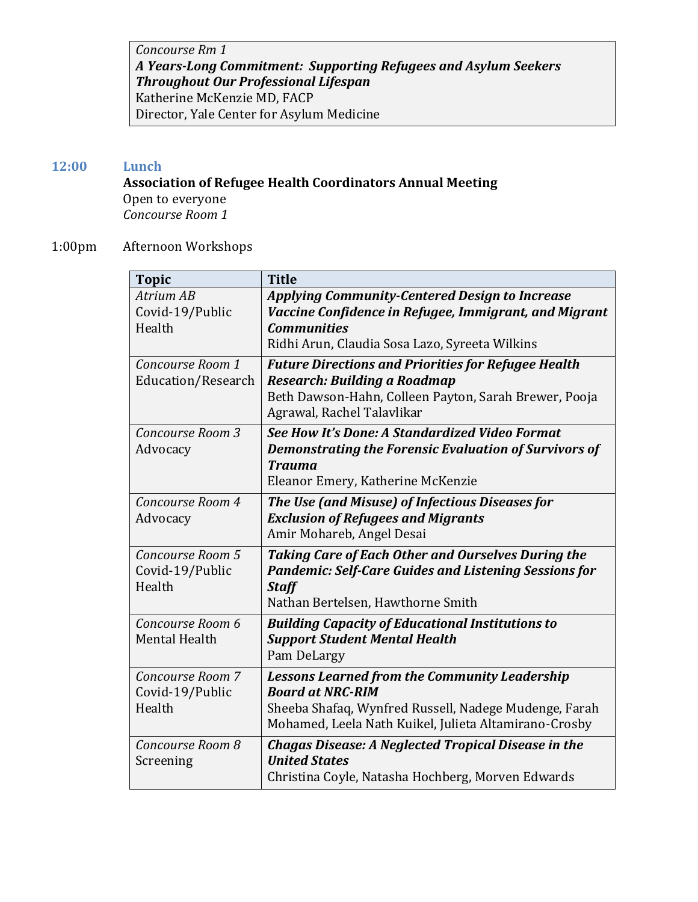*Concourse Rm 1 A Years-Long Commitment: Supporting Refugees and Asylum Seekers Throughout Our Professional Lifespan* Katherine McKenzie MD, FACP Director, Yale Center for Asylum Medicine

## **12:00 Lunch**

### **Association of Refugee Health Coordinators Annual Meeting** Open to everyone *Concourse Room 1*

### 1:00pm Afternoon Workshops

| <b>Topic</b>                                  | <b>Title</b>                                                                                                                                                                                      |
|-----------------------------------------------|---------------------------------------------------------------------------------------------------------------------------------------------------------------------------------------------------|
| Atrium AB<br>Covid-19/Public                  | <b>Applying Community-Centered Design to Increase</b><br>Vaccine Confidence in Refugee, Immigrant, and Migrant                                                                                    |
| Health                                        | <b>Communities</b><br>Ridhi Arun, Claudia Sosa Lazo, Syreeta Wilkins                                                                                                                              |
| Concourse Room 1<br>Education/Research        | <b>Future Directions and Priorities for Refugee Health</b><br>Research: Building a Roadmap<br>Beth Dawson-Hahn, Colleen Payton, Sarah Brewer, Pooja<br>Agrawal, Rachel Talavlikar                 |
| Concourse Room 3<br>Advocacy                  | See How It's Done: A Standardized Video Format<br><b>Demonstrating the Forensic Evaluation of Survivors of</b><br><b>Trauma</b><br>Eleanor Emery, Katherine McKenzie                              |
| Concourse Room 4<br>Advocacy                  | The Use (and Misuse) of Infectious Diseases for<br><b>Exclusion of Refugees and Migrants</b><br>Amir Mohareb, Angel Desai                                                                         |
| Concourse Room 5<br>Covid-19/Public<br>Health | <b>Taking Care of Each Other and Ourselves During the</b><br><b>Pandemic: Self-Care Guides and Listening Sessions for</b><br><b>Staff</b><br>Nathan Bertelsen, Hawthorne Smith                    |
| Concourse Room 6<br><b>Mental Health</b>      | <b>Building Capacity of Educational Institutions to</b><br><b>Support Student Mental Health</b><br>Pam DeLargy                                                                                    |
| Concourse Room 7<br>Covid-19/Public<br>Health | <b>Lessons Learned from the Community Leadership</b><br><b>Board at NRC-RIM</b><br>Sheeba Shafaq, Wynfred Russell, Nadege Mudenge, Farah<br>Mohamed, Leela Nath Kuikel, Julieta Altamirano-Crosby |
| Concourse Room 8<br>Screening                 | <b>Chagas Disease: A Neglected Tropical Disease in the</b><br><b>United States</b><br>Christina Coyle, Natasha Hochberg, Morven Edwards                                                           |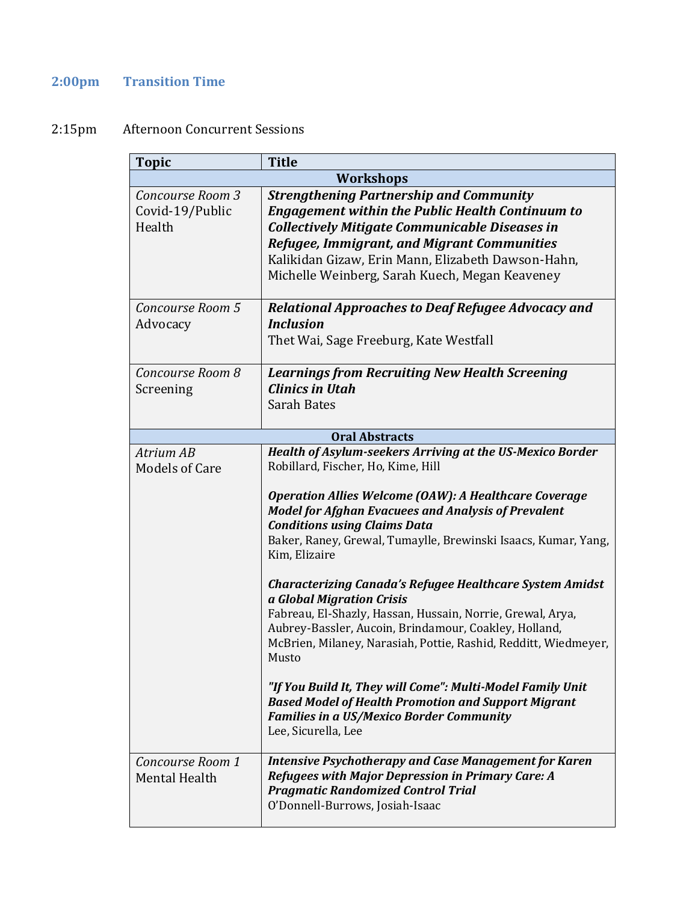# **2:00pm Transition Time**

# 2:15pm Afternoon Concurrent Sessions

| <b>Topic</b>                                  | <b>Title</b>                                                                                                                                                                                                                                                                                                                                                                                                                                                                                                                                                                                                                                                                                                                                                                                                                                                     |
|-----------------------------------------------|------------------------------------------------------------------------------------------------------------------------------------------------------------------------------------------------------------------------------------------------------------------------------------------------------------------------------------------------------------------------------------------------------------------------------------------------------------------------------------------------------------------------------------------------------------------------------------------------------------------------------------------------------------------------------------------------------------------------------------------------------------------------------------------------------------------------------------------------------------------|
|                                               | <b>Workshops</b>                                                                                                                                                                                                                                                                                                                                                                                                                                                                                                                                                                                                                                                                                                                                                                                                                                                 |
| Concourse Room 3<br>Covid-19/Public<br>Health | <b>Strengthening Partnership and Community</b><br><b>Engagement within the Public Health Continuum to</b><br><b>Collectively Mitigate Communicable Diseases in</b><br>Refugee, Immigrant, and Migrant Communities<br>Kalikidan Gizaw, Erin Mann, Elizabeth Dawson-Hahn,<br>Michelle Weinberg, Sarah Kuech, Megan Keaveney                                                                                                                                                                                                                                                                                                                                                                                                                                                                                                                                        |
| Concourse Room 5<br>Advocacy                  | <b>Relational Approaches to Deaf Refugee Advocacy and</b><br><b>Inclusion</b><br>Thet Wai, Sage Freeburg, Kate Westfall                                                                                                                                                                                                                                                                                                                                                                                                                                                                                                                                                                                                                                                                                                                                          |
| Concourse Room 8<br>Screening                 | <b>Learnings from Recruiting New Health Screening</b><br><b>Clinics in Utah</b><br><b>Sarah Bates</b>                                                                                                                                                                                                                                                                                                                                                                                                                                                                                                                                                                                                                                                                                                                                                            |
|                                               | <b>Oral Abstracts</b>                                                                                                                                                                                                                                                                                                                                                                                                                                                                                                                                                                                                                                                                                                                                                                                                                                            |
| Atrium AB<br><b>Models of Care</b>            | Health of Asylum-seekers Arriving at the US-Mexico Border<br>Robillard, Fischer, Ho, Kime, Hill<br><b>Operation Allies Welcome (OAW): A Healthcare Coverage</b><br><b>Model for Afghan Evacuees and Analysis of Prevalent</b><br><b>Conditions using Claims Data</b><br>Baker, Raney, Grewal, Tumaylle, Brewinski Isaacs, Kumar, Yang,<br>Kim, Elizaire<br><b>Characterizing Canada's Refugee Healthcare System Amidst</b><br>a Global Migration Crisis<br>Fabreau, El-Shazly, Hassan, Hussain, Norrie, Grewal, Arya,<br>Aubrey-Bassler, Aucoin, Brindamour, Coakley, Holland,<br>McBrien, Milaney, Narasiah, Pottie, Rashid, Redditt, Wiedmeyer,<br>Musto<br>"If You Build It, They will Come": Multi-Model Family Unit<br><b>Based Model of Health Promotion and Support Migrant</b><br><b>Families in a US/Mexico Border Community</b><br>Lee, Sicurella, Lee |
| Concourse Room 1<br><b>Mental Health</b>      | <b>Intensive Psychotherapy and Case Management for Karen</b><br><b>Refugees with Major Depression in Primary Care: A</b><br><b>Pragmatic Randomized Control Trial</b><br>O'Donnell-Burrows, Josiah-Isaac                                                                                                                                                                                                                                                                                                                                                                                                                                                                                                                                                                                                                                                         |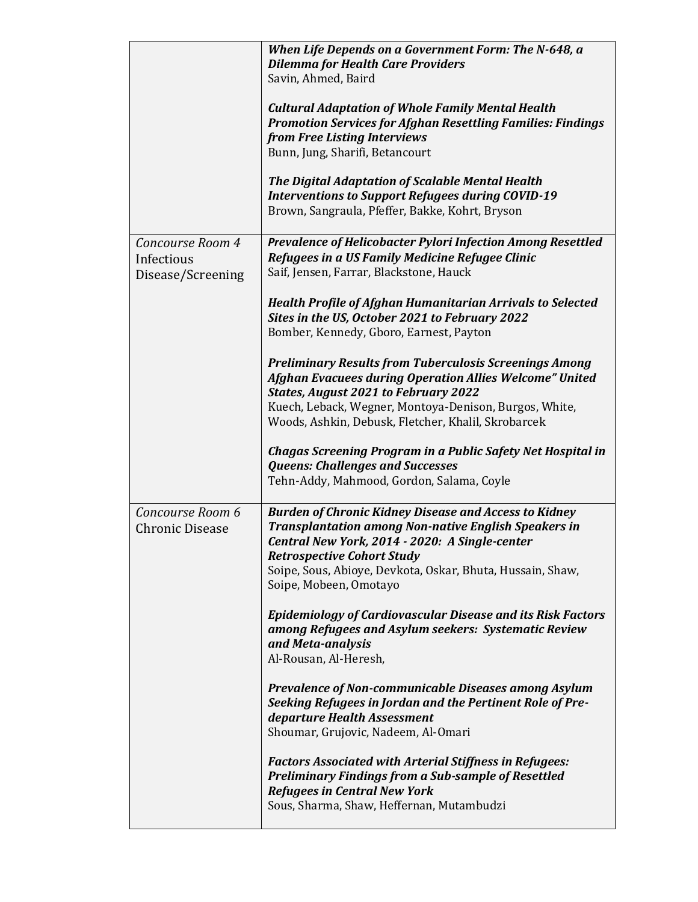|                                                     | When Life Depends on a Government Form: The N-648, a<br><b>Dilemma for Health Care Providers</b><br>Savin, Ahmed, Baird                                                                                                                                                                                    |
|-----------------------------------------------------|------------------------------------------------------------------------------------------------------------------------------------------------------------------------------------------------------------------------------------------------------------------------------------------------------------|
|                                                     | <b>Cultural Adaptation of Whole Family Mental Health</b><br><b>Promotion Services for Afghan Resettling Families: Findings</b><br>from Free Listing Interviews<br>Bunn, Jung, Sharifi, Betancourt                                                                                                          |
|                                                     | The Digital Adaptation of Scalable Mental Health<br><b>Interventions to Support Refugees during COVID-19</b><br>Brown, Sangraula, Pfeffer, Bakke, Kohrt, Bryson                                                                                                                                            |
| Concourse Room 4<br>Infectious<br>Disease/Screening | <b>Prevalence of Helicobacter Pylori Infection Among Resettled</b><br>Refugees in a US Family Medicine Refugee Clinic<br>Saif, Jensen, Farrar, Blackstone, Hauck                                                                                                                                           |
|                                                     | <b>Health Profile of Afghan Humanitarian Arrivals to Selected</b><br>Sites in the US, October 2021 to February 2022<br>Bomber, Kennedy, Gboro, Earnest, Payton                                                                                                                                             |
|                                                     | <b>Preliminary Results from Tuberculosis Screenings Among</b><br><b>Afghan Evacuees during Operation Allies Welcome" United</b><br><b>States, August 2021 to February 2022</b><br>Kuech, Leback, Wegner, Montoya-Denison, Burgos, White,                                                                   |
|                                                     | Woods, Ashkin, Debusk, Fletcher, Khalil, Skrobarcek<br>Chagas Screening Program in a Public Safety Net Hospital in<br><b>Queens: Challenges and Successes</b><br>Tehn-Addy, Mahmood, Gordon, Salama, Coyle                                                                                                 |
| Concourse Room 6<br><b>Chronic Disease</b>          | <b>Burden of Chronic Kidney Disease and Access to Kidney</b><br><b>Transplantation among Non-native English Speakers in</b><br>Central New York, 2014 - 2020: A Single-center<br><b>Retrospective Cohort Study</b><br>Soipe, Sous, Abioye, Devkota, Oskar, Bhuta, Hussain, Shaw,<br>Soipe, Mobeen, Omotayo |
|                                                     | <b>Epidemiology of Cardiovascular Disease and its Risk Factors</b><br>among Refugees and Asylum seekers: Systematic Review<br>and Meta-analysis<br>Al-Rousan, Al-Heresh,                                                                                                                                   |
|                                                     | <b>Prevalence of Non-communicable Diseases among Asylum</b><br>Seeking Refugees in Jordan and the Pertinent Role of Pre-<br>departure Health Assessment<br>Shoumar, Grujovic, Nadeem, Al-Omari                                                                                                             |
|                                                     | <b>Factors Associated with Arterial Stiffness in Refugees:</b><br><b>Preliminary Findings from a Sub-sample of Resettled</b><br><b>Refugees in Central New York</b><br>Sous, Sharma, Shaw, Heffernan, Mutambudzi                                                                                           |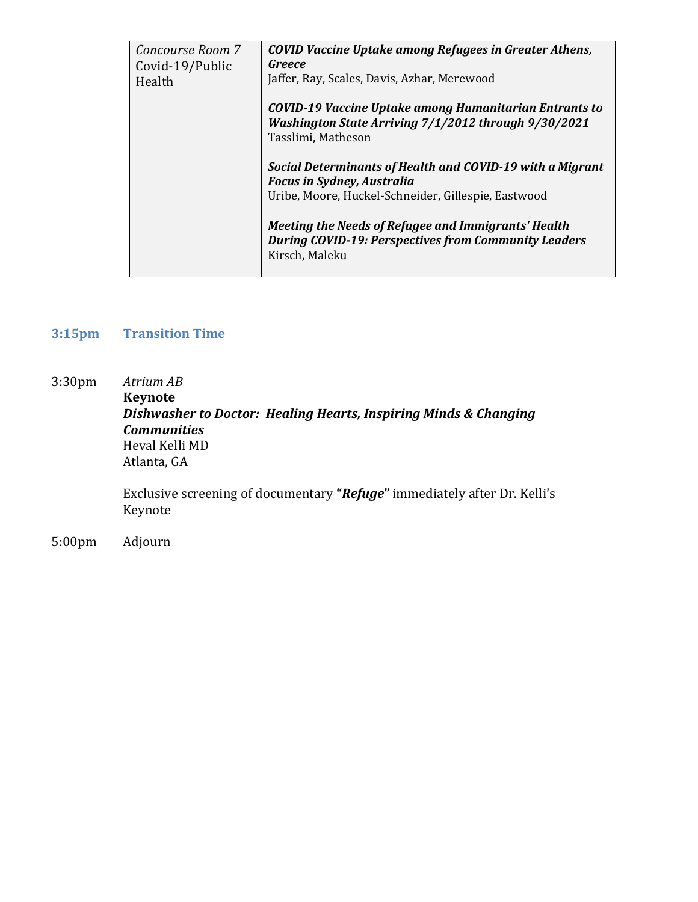| Concourse Room 7<br>Covid-19/Public | <b>COVID Vaccine Uptake among Refugees in Greater Athens,</b><br>Greece                                                              |
|-------------------------------------|--------------------------------------------------------------------------------------------------------------------------------------|
| Health                              | Jaffer, Ray, Scales, Davis, Azhar, Merewood                                                                                          |
|                                     | COVID-19 Vaccine Uptake among Humanitarian Entrants to<br>Washington State Arriving 7/1/2012 through 9/30/2021<br>Tasslimi, Matheson |
|                                     | Social Determinants of Health and COVID-19 with a Migrant<br><b>Focus in Sydney, Australia</b>                                       |
|                                     | Uribe, Moore, Huckel-Schneider, Gillespie, Eastwood                                                                                  |
|                                     | Meeting the Needs of Refugee and Immigrants' Health<br><b>During COVID-19: Perspectives from Community Leaders</b><br>Kirsch, Maleku |

## **3:15pm Transition Time**

3:30pm *Atrium AB*

**Keynote** *Dishwasher to Doctor: Healing Hearts, Inspiring Minds & Changing Communities* Heval Kelli MD Atlanta, GA

Exclusive screening of documentary **"***Refuge***"** immediately after Dr. Kelli's Keynote

5:00pm Adjourn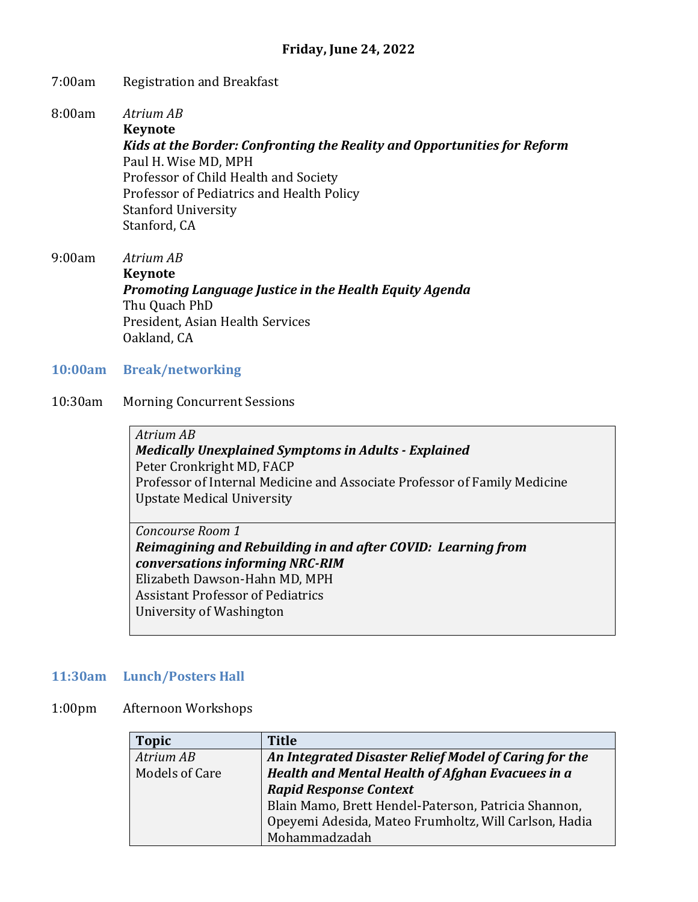#### 7:00am Registration and Breakfast

8:00am *Atrium AB*

**Keynote**  *Kids at the Border: Confronting the Reality and Opportunities for Reform* Paul H. Wise MD, MPH Professor of Child Health and Society Professor of Pediatrics and Health Policy Stanford University Stanford, CA

9:00am *Atrium AB* **Keynote**  *Promoting Language Justice in the Health Equity Agenda* Thu Quach PhD President, Asian Health Services Oakland, CA

**10:00am Break/networking**

#### 10:30am Morning Concurrent Sessions

*Atrium AB Medically Unexplained Symptoms in Adults - Explained* Peter Cronkright MD, FACP Professor of Internal Medicine and Associate Professor of Family Medicine Upstate Medical University

*Concourse Room 1 Reimagining and Rebuilding in and after COVID: Learning from conversations informing NRC-RIM* Elizabeth Dawson-Hahn MD, MPH Assistant Professor of Pediatrics University of Washington

#### **11:30am Lunch/Posters Hall**

#### 1:00pm Afternoon Workshops

| <b>Topic</b>   | <b>Title</b>                                          |
|----------------|-------------------------------------------------------|
| Atrium AB      | An Integrated Disaster Relief Model of Caring for the |
| Models of Care | Health and Mental Health of Afghan Evacuees in a      |
|                | <b>Rapid Response Context</b>                         |
|                | Blain Mamo, Brett Hendel-Paterson, Patricia Shannon,  |
|                | Opeyemi Adesida, Mateo Frumholtz, Will Carlson, Hadia |
|                | Mohammadzadah                                         |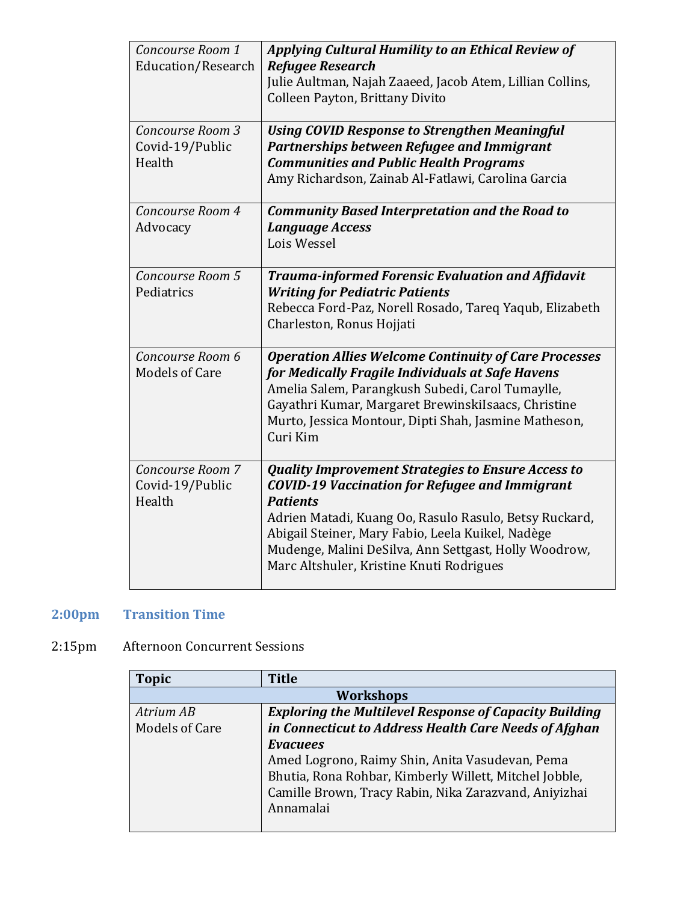| Concourse Room 1          | Applying Cultural Humility to an Ethical Review of           |
|---------------------------|--------------------------------------------------------------|
| <b>Education/Research</b> | <b>Refugee Research</b>                                      |
|                           | Julie Aultman, Najah Zaaeed, Jacob Atem, Lillian Collins,    |
|                           | Colleen Payton, Brittany Divito                              |
|                           |                                                              |
| Concourse Room 3          | <b>Using COVID Response to Strengthen Meaningful</b>         |
| Covid-19/Public           | Partnerships between Refugee and Immigrant                   |
| Health                    | <b>Communities and Public Health Programs</b>                |
|                           | Amy Richardson, Zainab Al-Fatlawi, Carolina Garcia           |
|                           |                                                              |
| Concourse Room 4          | <b>Community Based Interpretation and the Road to</b>        |
| Advocacy                  | <b>Language Access</b>                                       |
|                           | Lois Wessel                                                  |
|                           |                                                              |
| Concourse Room 5          | <b>Trauma-informed Forensic Evaluation and Affidavit</b>     |
| Pediatrics                | <b>Writing for Pediatric Patients</b>                        |
|                           | Rebecca Ford-Paz, Norell Rosado, Tareq Yaqub, Elizabeth      |
|                           | Charleston, Ronus Hojjati                                    |
|                           |                                                              |
| Concourse Room 6          | <b>Operation Allies Welcome Continuity of Care Processes</b> |
| <b>Models of Care</b>     | for Medically Fragile Individuals at Safe Havens             |
|                           | Amelia Salem, Parangkush Subedi, Carol Tumaylle,             |
|                           | Gayathri Kumar, Margaret BrewinskiIsaacs, Christine          |
|                           | Murto, Jessica Montour, Dipti Shah, Jasmine Matheson,        |
|                           | Curi Kim                                                     |
|                           |                                                              |
| Concourse Room 7          | <b>Quality Improvement Strategies to Ensure Access to</b>    |
| Covid-19/Public           | <b>COVID-19 Vaccination for Refugee and Immigrant</b>        |
| Health                    | <b>Patients</b>                                              |
|                           | Adrien Matadi, Kuang Oo, Rasulo Rasulo, Betsy Ruckard,       |
|                           | Abigail Steiner, Mary Fabio, Leela Kuikel, Nadège            |
|                           | Mudenge, Malini DeSilva, Ann Settgast, Holly Woodrow,        |
|                           | Marc Altshuler, Kristine Knuti Rodrigues                     |
|                           |                                                              |

# **2:00pm Transition Time**

## 2:15pm Afternoon Concurrent Sessions

| <b>Topic</b>          | <b>Title</b>                                                  |
|-----------------------|---------------------------------------------------------------|
| <b>Workshops</b>      |                                                               |
| Atrium AB             | <b>Exploring the Multilevel Response of Capacity Building</b> |
| <b>Models of Care</b> | in Connecticut to Address Health Care Needs of Afghan         |
|                       | <b>Evacuees</b>                                               |
|                       | Amed Logrono, Raimy Shin, Anita Vasudevan, Pema               |
|                       | Bhutia, Rona Rohbar, Kimberly Willett, Mitchel Jobble,        |
|                       | Camille Brown, Tracy Rabin, Nika Zarazvand, Aniyizhai         |
|                       | Annamalai                                                     |
|                       |                                                               |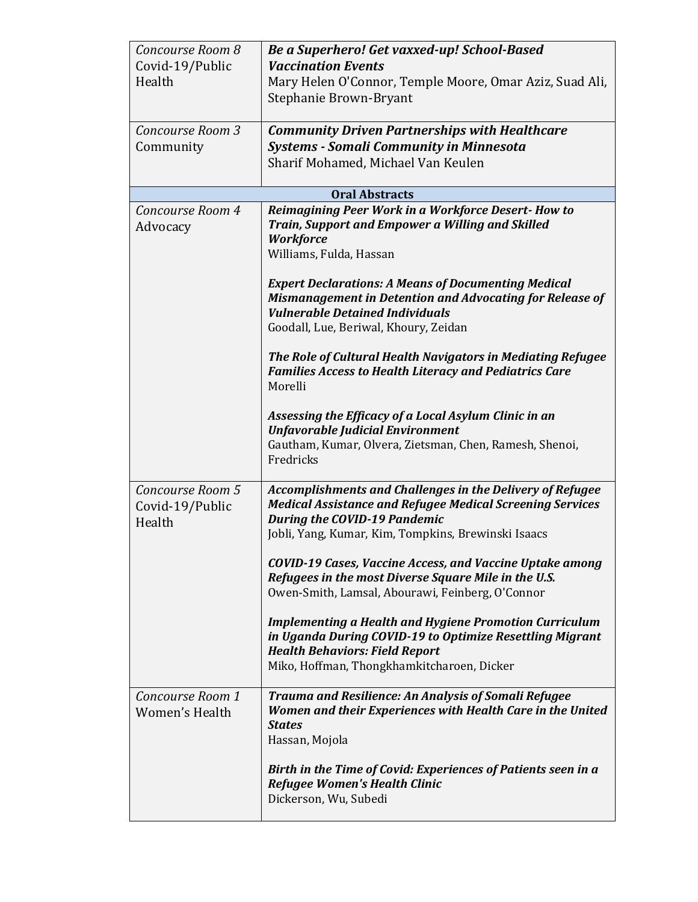| Concourse Room 8<br>Covid-19/Public<br>Health<br>Concourse Room 3<br>Community | Be a Superhero! Get vaxxed-up! School-Based<br><b>Vaccination Events</b><br>Mary Helen O'Connor, Temple Moore, Omar Aziz, Suad Ali,<br>Stephanie Brown-Bryant<br><b>Community Driven Partnerships with Healthcare</b><br><b>Systems - Somali Community in Minnesota</b>                                                                                                                                                                                                                                                                                                                                                                                                                   |
|--------------------------------------------------------------------------------|-------------------------------------------------------------------------------------------------------------------------------------------------------------------------------------------------------------------------------------------------------------------------------------------------------------------------------------------------------------------------------------------------------------------------------------------------------------------------------------------------------------------------------------------------------------------------------------------------------------------------------------------------------------------------------------------|
|                                                                                | Sharif Mohamed, Michael Van Keulen                                                                                                                                                                                                                                                                                                                                                                                                                                                                                                                                                                                                                                                        |
|                                                                                | <b>Oral Abstracts</b>                                                                                                                                                                                                                                                                                                                                                                                                                                                                                                                                                                                                                                                                     |
| Concourse Room 4<br>Advocacy                                                   | Reimagining Peer Work in a Workforce Desert-How to<br>Train, Support and Empower a Willing and Skilled<br><b>Workforce</b><br>Williams, Fulda, Hassan<br><b>Expert Declarations: A Means of Documenting Medical</b><br>Mismanagement in Detention and Advocating for Release of<br><b>Vulnerable Detained Individuals</b><br>Goodall, Lue, Beriwal, Khoury, Zeidan<br>The Role of Cultural Health Navigators in Mediating Refugee<br><b>Families Access to Health Literacy and Pediatrics Care</b><br>Morelli<br>Assessing the Efficacy of a Local Asylum Clinic in an<br><b>Unfavorable Judicial Environment</b><br>Gautham, Kumar, Olvera, Zietsman, Chen, Ramesh, Shenoi,<br>Fredricks |
| Concourse Room 5<br>Covid-19/Public<br>Health                                  | <b>Accomplishments and Challenges in the Delivery of Refugee</b><br><b>Medical Assistance and Refugee Medical Screening Services</b><br><b>During the COVID-19 Pandemic</b><br>Jobli, Yang, Kumar, Kim, Tompkins, Brewinski Isaacs<br>COVID-19 Cases, Vaccine Access, and Vaccine Uptake among<br>Refugees in the most Diverse Square Mile in the U.S.<br>Owen-Smith, Lamsal, Abourawi, Feinberg, O'Connor<br><b>Implementing a Health and Hygiene Promotion Curriculum</b><br>in Uganda During COVID-19 to Optimize Resettling Migrant<br><b>Health Behaviors: Field Report</b><br>Miko, Hoffman, Thongkhamkitcharoen, Dicker                                                            |
| Concourse Room 1<br>Women's Health                                             | Trauma and Resilience: An Analysis of Somali Refugee<br>Women and their Experiences with Health Care in the United<br><b>States</b><br>Hassan, Mojola<br>Birth in the Time of Covid: Experiences of Patients seen in a<br><b>Refugee Women's Health Clinic</b><br>Dickerson, Wu, Subedi                                                                                                                                                                                                                                                                                                                                                                                                   |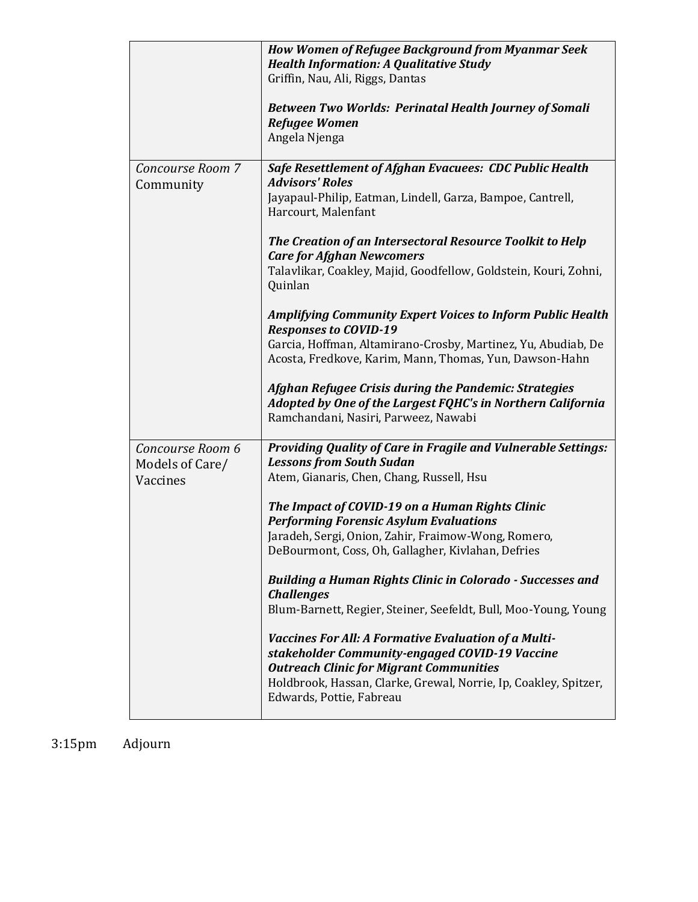|                                                 | <b>How Women of Refugee Background from Myanmar Seek</b><br><b>Health Information: A Qualitative Study</b><br>Griffin, Nau, Ali, Riggs, Dantas<br><b>Between Two Worlds: Perinatal Health Journey of Somali</b><br><b>Refugee Women</b><br>Angela Njenga                       |
|-------------------------------------------------|--------------------------------------------------------------------------------------------------------------------------------------------------------------------------------------------------------------------------------------------------------------------------------|
| Concourse Room 7<br>Community                   | <b>Safe Resettlement of Afghan Evacuees: CDC Public Health</b><br><b>Advisors' Roles</b><br>Jayapaul-Philip, Eatman, Lindell, Garza, Bampoe, Cantrell,<br>Harcourt, Malenfant<br>The Creation of an Intersectoral Resource Toolkit to Help<br><b>Care for Afghan Newcomers</b> |
|                                                 | Talavlikar, Coakley, Majid, Goodfellow, Goldstein, Kouri, Zohni,<br>Quinlan                                                                                                                                                                                                    |
|                                                 | <b>Amplifying Community Expert Voices to Inform Public Health</b><br><b>Responses to COVID-19</b>                                                                                                                                                                              |
|                                                 | Garcia, Hoffman, Altamirano-Crosby, Martinez, Yu, Abudiab, De<br>Acosta, Fredkove, Karim, Mann, Thomas, Yun, Dawson-Hahn                                                                                                                                                       |
|                                                 | Afghan Refugee Crisis during the Pandemic: Strategies<br>Adopted by One of the Largest FQHC's in Northern California<br>Ramchandani, Nasiri, Parweez, Nawabi                                                                                                                   |
| Concourse Room 6<br>Models of Care/<br>Vaccines | Providing Quality of Care in Fragile and Vulnerable Settings:<br><b>Lessons from South Sudan</b><br>Atem, Gianaris, Chen, Chang, Russell, Hsu                                                                                                                                  |
|                                                 | The Impact of COVID-19 on a Human Rights Clinic<br><b>Performing Forensic Asylum Evaluations</b><br>Jaradeh, Sergi, Onion, Zahir, Fraimow-Wong, Romero,<br>DeBourmont, Coss, Oh, Gallagher, Kivlahan, Defries                                                                  |
|                                                 | <b>Building a Human Rights Clinic in Colorado - Successes and</b><br><b>Challenges</b><br>Blum-Barnett, Regier, Steiner, Seefeldt, Bull, Moo-Young, Young                                                                                                                      |
|                                                 | <b>Vaccines For All: A Formative Evaluation of a Multi-</b><br>stakeholder Community-engaged COVID-19 Vaccine<br><b>Outreach Clinic for Migrant Communities</b><br>Holdbrook, Hassan, Clarke, Grewal, Norrie, Ip, Coakley, Spitzer,<br>Edwards, Pottie, Fabreau                |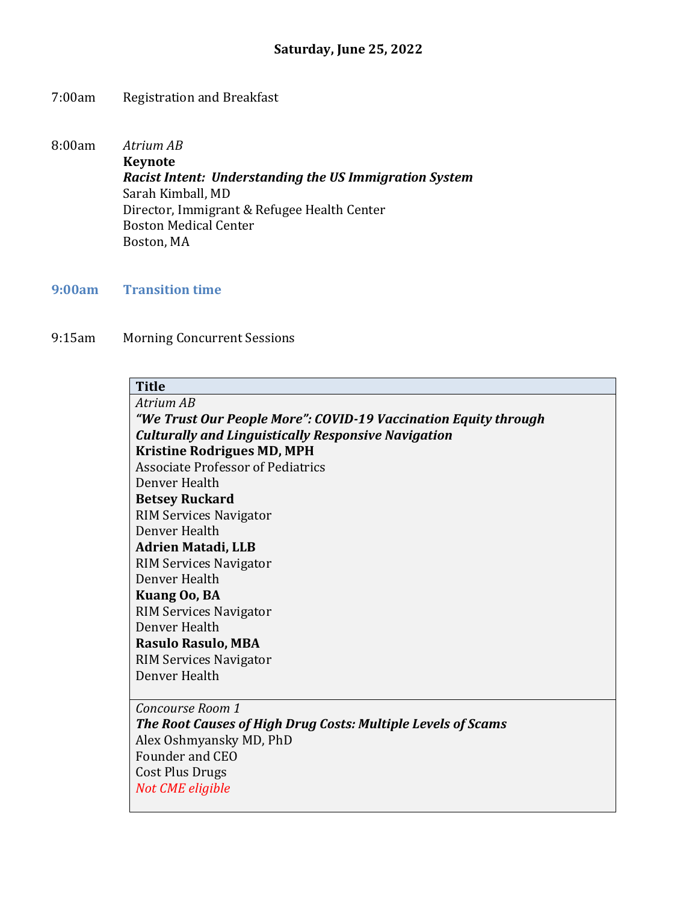### 7:00am Registration and Breakfast

8:00am *Atrium AB* **Keynote** *Racist Intent: Understanding the US Immigration System* Sarah Kimball, MD Director, Immigrant & Refugee Health Center Boston Medical Center Boston, MA

**9:00am Transition time**

9:15am Morning Concurrent Sessions

## **Title**

*Atrium AB "We Trust Our People More": COVID-19 Vaccination Equity through Culturally and Linguistically Responsive Navigation* **Kristine Rodrigues MD, MPH** Associate Professor of Pediatrics Denver Health **Betsey Ruckard** RIM Services Navigator Denver Health **Adrien Matadi, LLB** RIM Services Navigator Denver Health **Kuang Oo, BA** RIM Services Navigator Denver Health **Rasulo Rasulo, MBA** RIM Services Navigator Denver Health *Concourse Room 1*

*The Root Causes of High Drug Costs: Multiple Levels of Scams* Alex Oshmyansky MD, PhD Founder and CEO Cost Plus Drugs *Not CME eligible*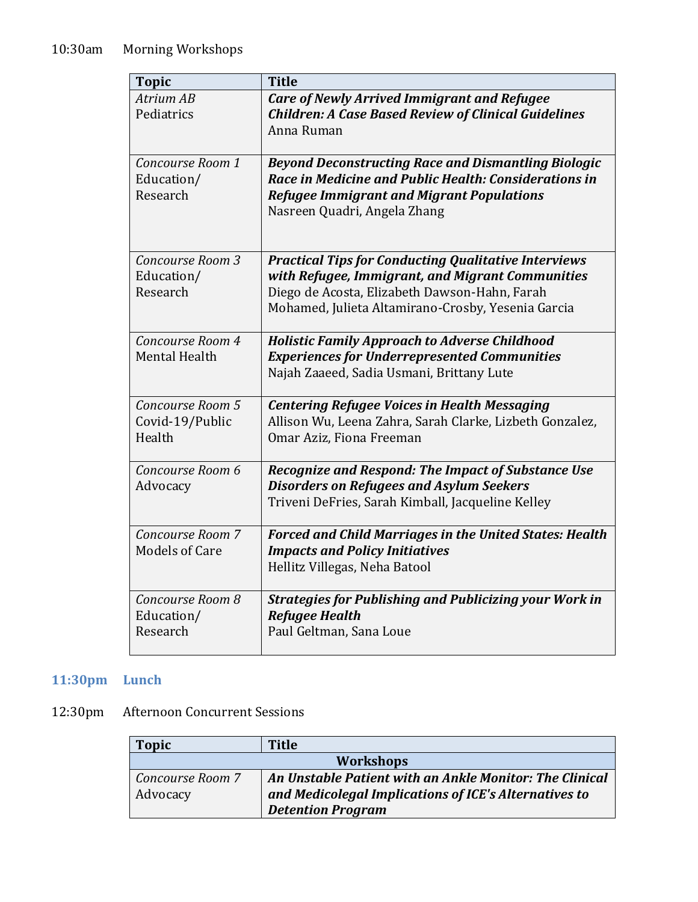| <b>Topic</b>                                  | <b>Title</b>                                                                                                                                                                                                           |
|-----------------------------------------------|------------------------------------------------------------------------------------------------------------------------------------------------------------------------------------------------------------------------|
| Atrium AB<br>Pediatrics                       | <b>Care of Newly Arrived Immigrant and Refugee</b><br><b>Children: A Case Based Review of Clinical Guidelines</b><br>Anna Ruman                                                                                        |
| Concourse Room 1<br>Education/<br>Research    | <b>Beyond Deconstructing Race and Dismantling Biologic</b><br>Race in Medicine and Public Health: Considerations in<br><b>Refugee Immigrant and Migrant Populations</b><br>Nasreen Quadri, Angela Zhang                |
| Concourse Room 3<br>Education/<br>Research    | <b>Practical Tips for Conducting Qualitative Interviews</b><br>with Refugee, Immigrant, and Migrant Communities<br>Diego de Acosta, Elizabeth Dawson-Hahn, Farah<br>Mohamed, Julieta Altamirano-Crosby, Yesenia Garcia |
| Concourse Room 4<br><b>Mental Health</b>      | <b>Holistic Family Approach to Adverse Childhood</b><br><b>Experiences for Underrepresented Communities</b><br>Najah Zaaeed, Sadia Usmani, Brittany Lute                                                               |
| Concourse Room 5<br>Covid-19/Public<br>Health | <b>Centering Refugee Voices in Health Messaging</b><br>Allison Wu, Leena Zahra, Sarah Clarke, Lizbeth Gonzalez,<br>Omar Aziz, Fiona Freeman                                                                            |
| Concourse Room 6<br>Advocacy                  | <b>Recognize and Respond: The Impact of Substance Use</b><br><b>Disorders on Refugees and Asylum Seekers</b><br>Triveni DeFries, Sarah Kimball, Jacqueline Kelley                                                      |
| Concourse Room 7<br><b>Models of Care</b>     | <b>Forced and Child Marriages in the United States: Health</b><br><b>Impacts and Policy Initiatives</b><br>Hellitz Villegas, Neha Batool                                                                               |
| Concourse Room 8<br>Education/<br>Research    | <b>Strategies for Publishing and Publicizing your Work in</b><br><b>Refugee Health</b><br>Paul Geltman, Sana Loue                                                                                                      |

# **11:30pm Lunch**

# 12:30pm Afternoon Concurrent Sessions

| <b>Topic</b>     | <b>Title</b>                                            |
|------------------|---------------------------------------------------------|
| <b>Workshops</b> |                                                         |
| Concourse Room 7 | An Unstable Patient with an Ankle Monitor: The Clinical |
| Advocacy         | and Medicolegal Implications of ICE's Alternatives to   |
|                  | <b>Detention Program</b>                                |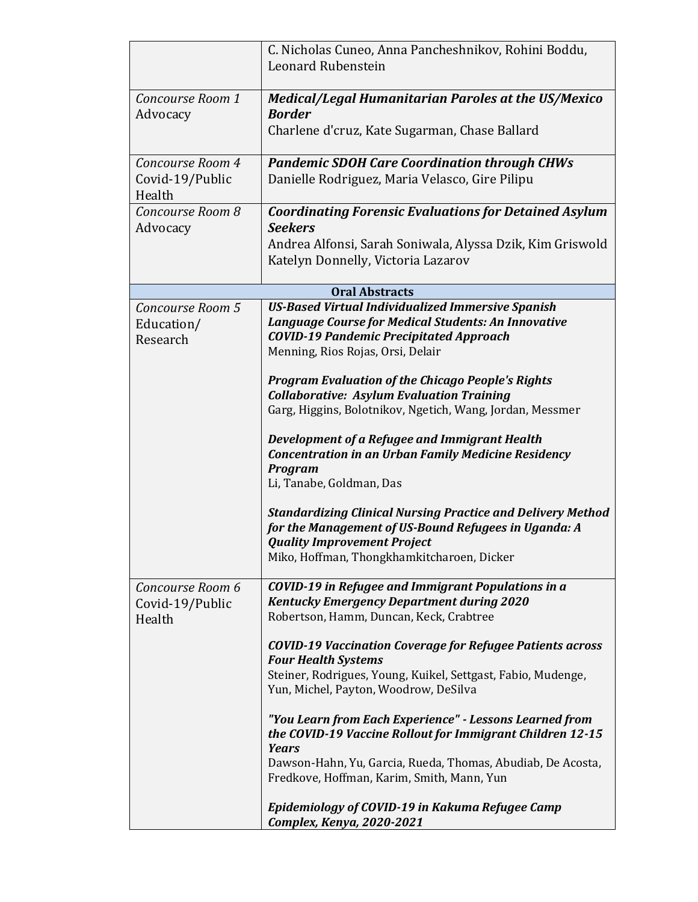|                              | C. Nicholas Cuneo, Anna Pancheshnikov, Rohini Boddu,                                |
|------------------------------|-------------------------------------------------------------------------------------|
|                              | Leonard Rubenstein                                                                  |
|                              |                                                                                     |
| Concourse Room 1<br>Advocacy | <b>Medical/Legal Humanitarian Paroles at the US/Mexico</b><br><b>Border</b>         |
|                              | Charlene d'cruz, Kate Sugarman, Chase Ballard                                       |
|                              |                                                                                     |
| Concourse Room 4             | <b>Pandemic SDOH Care Coordination through CHWs</b>                                 |
| Covid-19/Public              | Danielle Rodriguez, Maria Velasco, Gire Pilipu                                      |
| Health                       |                                                                                     |
| Concourse Room 8             | <b>Coordinating Forensic Evaluations for Detained Asylum</b>                        |
| Advocacy                     | <b>Seekers</b>                                                                      |
|                              | Andrea Alfonsi, Sarah Soniwala, Alyssa Dzik, Kim Griswold                           |
|                              | Katelyn Donnelly, Victoria Lazarov                                                  |
|                              | <b>Oral Abstracts</b>                                                               |
| Concourse Room 5             | <b>US-Based Virtual Individualized Immersive Spanish</b>                            |
| Education/                   | Language Course for Medical Students: An Innovative                                 |
| Research                     | <b>COVID-19 Pandemic Precipitated Approach</b><br>Menning, Rios Rojas, Orsi, Delair |
|                              |                                                                                     |
|                              | <b>Program Evaluation of the Chicago People's Rights</b>                            |
|                              | <b>Collaborative: Asylum Evaluation Training</b>                                    |
|                              | Garg, Higgins, Bolotnikov, Ngetich, Wang, Jordan, Messmer                           |
|                              | Development of a Refugee and Immigrant Health                                       |
|                              | <b>Concentration in an Urban Family Medicine Residency</b>                          |
|                              | <b>Program</b>                                                                      |
|                              | Li, Tanabe, Goldman, Das                                                            |
|                              | <b>Standardizing Clinical Nursing Practice and Delivery Method</b>                  |
|                              | for the Management of US-Bound Refugees in Uganda: A                                |
|                              | <b>Quality Improvement Project</b>                                                  |
|                              | Miko, Hoffman, Thongkhamkitcharoen, Dicker                                          |
| Concourse Room 6             | <b>COVID-19 in Refugee and Immigrant Populations in a</b>                           |
| Covid-19/Public              | <b>Kentucky Emergency Department during 2020</b>                                    |
| Health                       | Robertson, Hamm, Duncan, Keck, Crabtree                                             |
|                              | <b>COVID-19 Vaccination Coverage for Refugee Patients across</b>                    |
|                              | <b>Four Health Systems</b>                                                          |
|                              | Steiner, Rodrigues, Young, Kuikel, Settgast, Fabio, Mudenge,                        |
|                              | Yun, Michel, Payton, Woodrow, DeSilva                                               |
|                              | "You Learn from Each Experience" - Lessons Learned from                             |
|                              | the COVID-19 Vaccine Rollout for Immigrant Children 12-15                           |
|                              | <b>Years</b>                                                                        |
|                              | Dawson-Hahn, Yu, Garcia, Rueda, Thomas, Abudiab, De Acosta,                         |
|                              | Fredkove, Hoffman, Karim, Smith, Mann, Yun                                          |
|                              | Epidemiology of COVID-19 in Kakuma Refugee Camp                                     |
|                              | Complex, Kenya, 2020-2021                                                           |